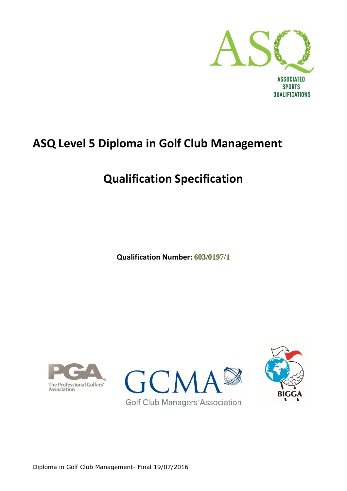

# **ASQ Level 5 Diploma in Golf Club Management**

# **Qualification Specification**

**Qualification Number: 603/0197/1**





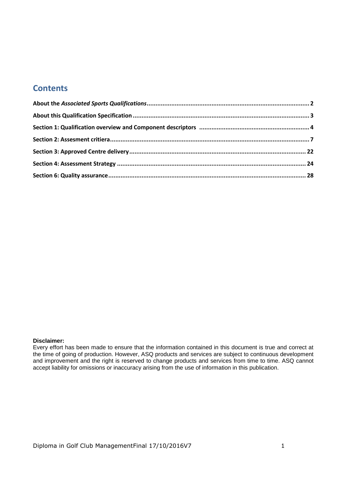### **Contents**

#### **Disclaimer:**

Every effort has been made to ensure that the information contained in this document is true and correct at the time of going of production. However, ASQ products and services are subject to continuous development and improvement and the right is reserved to change products and services from time to time. ASQ cannot accept liability for omissions or inaccuracy arising from the use of information in this publication.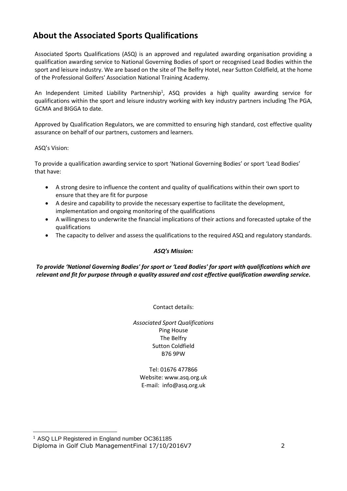# <span id="page-2-0"></span>**About the Associated Sports Qualifications**

Associated Sports Qualifications (ASQ) is an approved and regulated awarding organisation providing a qualification awarding service to National Governing Bodies of sport or recognised Lead Bodies within the sport and leisure industry. We are based on the site of The Belfry Hotel, near Sutton Coldfield, at the home of the Professional Golfers' Association National Training Academy.

An Independent Limited Liability Partnership<sup>1</sup>, ASQ provides a high quality awarding service for qualifications within the sport and leisure industry working with key industry partners including The PGA, GCMA and BIGGA to date.

Approved by Qualification Regulators, we are committed to ensuring high standard, cost effective quality assurance on behalf of our partners, customers and learners.

#### ASQ's Vision:

-

To provide a qualification awarding service to sport 'National Governing Bodies' or sport 'Lead Bodies' that have:

- A strong desire to influence the content and quality of qualifications within their own sport to ensure that they are fit for purpose
- A desire and capability to provide the necessary expertise to facilitate the development, implementation and ongoing monitoring of the qualifications
- A willingness to underwrite the financial implications of their actions and forecasted uptake of the qualifications
- The capacity to deliver and assess the qualifications to the required ASQ and regulatory standards.

#### *ASQ's Mission:*

*To provide 'National Governing Bodies' for sport or 'Lead Bodies' for sport with qualifications which are relevant and fit for purpose through a quality assured and cost effective qualification awarding service.*

Contact details:

*Associated Sport Qualifications* Ping House The Belfry Sutton Coldfield B76 9PW

Tel: 01676 477866 Website: www.asq.org.uk E-mail: info@asq.org.uk

Diploma in Golf Club ManagementFinal 17/10/2016V7 2 <sup>1</sup> ASQ LLP Registered in England number OC361185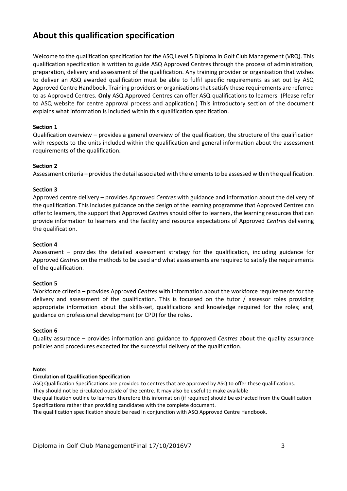# <span id="page-3-0"></span>**About this qualification specification**

Welcome to the qualification specification for the ASQ Level 5 Diploma in Golf Club Management (VRQ). This qualification specification is written to guide ASQ Approved Centres through the process of administration, preparation, delivery and assessment of the qualification. Any training provider or organisation that wishes to deliver an ASQ awarded qualification must be able to fulfil specific requirements as set out by ASQ Approved Centre Handbook. Training providers or organisations that satisfy these requirements are referred to as Approved Centres. **Only** ASQ Approved Centres can offer ASQ qualifications to learners. (Please refer to ASQ website for centre approval process and application.) This introductory section of the document explains what information is included within this qualification specification.

### **Section 1**

Qualification overview – provides a general overview of the qualification, the structure of the qualification with respects to the units included within the qualification and general information about the assessment requirements of the qualification.

#### **Section 2**

Assessment criteria – provides the detail associated with the elements to be assessed within the qualification.

#### **Section 3**

Approved centre delivery – provides Approved *Centres* with guidance and information about the delivery of the qualification. This includes guidance on the design of the learning programme that Approved Centres can offer to learners, the support that Approved *Centres* should offer to learners, the learning resources that can provide information to learners and the facility and resource expectations of Approved *Centres* delivering the qualification.

#### **Section 4**

Assessment – provides the detailed assessment strategy for the qualification, including guidance for Approved *Centres* on the methods to be used and what assessments are required to satisfy the requirements of the qualification.

#### **Section 5**

Workforce criteria – provides Approved *Centres* with information about the workforce requirements for the delivery and assessment of the qualification. This is focussed on the tutor / assessor roles providing appropriate information about the skills-set, qualifications and knowledge required for the roles; and, guidance on professional development (or CPD) for the roles.

#### **Section 6**

Quality assurance – provides information and guidance to Approved *Centres* about the quality assurance policies and procedures expected for the successful delivery of the qualification.

#### **Note:**

#### **Circulation of Qualification Specification**

ASQ Qualification Specifications are provided to centres that are approved by ASQ to offer these qualifications. They should not be circulated outside of the centre. It may also be useful to make available the qualification outline to learners therefore this information (if required) should be extracted from the Qualification Specifications rather than providing candidates with the complete document.

The qualification specification should be read in conjunction with ASQ Approved Centre Handbook.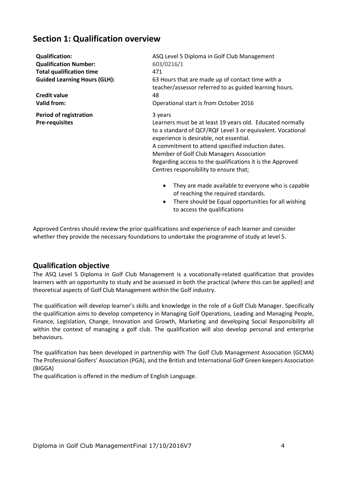## <span id="page-4-0"></span>**Section 1: Qualification overview**

| <b>Qualification:</b>                                  | ASQ Level 5 Diploma in Golf Club Management                                                                                                                                                                                                                                                                                                                                           |  |  |  |  |
|--------------------------------------------------------|---------------------------------------------------------------------------------------------------------------------------------------------------------------------------------------------------------------------------------------------------------------------------------------------------------------------------------------------------------------------------------------|--|--|--|--|
| <b>Qualification Number:</b>                           | 603/0216/1                                                                                                                                                                                                                                                                                                                                                                            |  |  |  |  |
| <b>Total qualification time</b>                        | 471                                                                                                                                                                                                                                                                                                                                                                                   |  |  |  |  |
| <b>Guided Learning Hours (GLH):</b>                    | 63 Hours that are made up of contact time with a<br>teacher/assessor referred to as guided learning hours.                                                                                                                                                                                                                                                                            |  |  |  |  |
| <b>Credit value</b>                                    | 48                                                                                                                                                                                                                                                                                                                                                                                    |  |  |  |  |
| Valid from:                                            | Operational start is from October 2016                                                                                                                                                                                                                                                                                                                                                |  |  |  |  |
| <b>Period of registration</b><br><b>Pre-requisites</b> | 3 years<br>Learners must be at least 19 years old. Educated normally<br>to a standard of QCF/RQF Level 3 or equivalent. Vocational<br>experience is desirable, not essential.<br>A commitment to attend specified induction dates.<br>Member of Golf Club Managers Association<br>Regarding access to the qualifications it is the Approved<br>Centres responsibility to ensure that; |  |  |  |  |
|                                                        | They are made available to everyone who is capable<br>$\bullet$<br>of reaching the required standards.<br>There should be Equal opportunities for all wishing<br>$\bullet$<br>to access the qualifications                                                                                                                                                                            |  |  |  |  |

Approved Centres should review the prior qualifications and experience of each learner and consider whether they provide the necessary foundations to undertake the programme of study at level 5.

### **Qualification objective**

The ASQ Level 5 Diploma in Golf Club Management is a vocationally-related qualification that provides learners with an opportunity to study and be assessed in both the practical (where this can be applied) and theoretical aspects of Golf Club Management within the Golf industry.

The qualification will develop learner's skills and knowledge in the role of a Golf Club Manager. Specifically the qualification aims to develop competency in Managing Golf Operations, Leading and Managing People, Finance, Legislation, Change, Innovation and Growth, Marketing and developing Social Responsibility all within the context of managing a golf club. The qualification will also develop personal and enterprise behaviours.

The qualification has been developed in partnership with The Golf Club Management Association (GCMA) The Professional Golfers' Association (PGA), and the British and International Golf Green keepers Association (BIGGA)

The qualification is offered in the medium of English Language.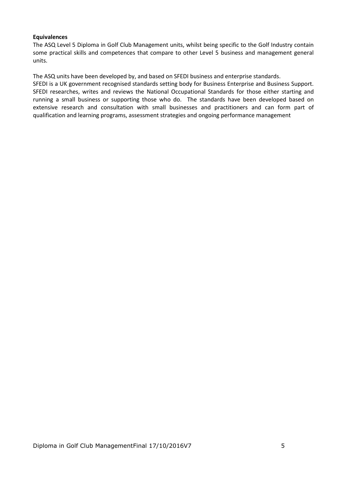#### **Equivalences**

The ASQ Level 5 Diploma in Golf Club Management units, whilst being specific to the Golf Industry contain some practical skills and competences that compare to other Level 5 business and management general units.

The ASQ units have been developed by, and based on SFEDI business and enterprise standards.

SFEDI is a UK government recognised standards setting body for Business Enterprise and Business Support. SFEDI researches, writes and reviews the National Occupational Standards for those either starting and running a small business or supporting those who do. The standards have been developed based on extensive research and consultation with small businesses and practitioners and can form part of qualification and learning programs, assessment strategies and ongoing performance management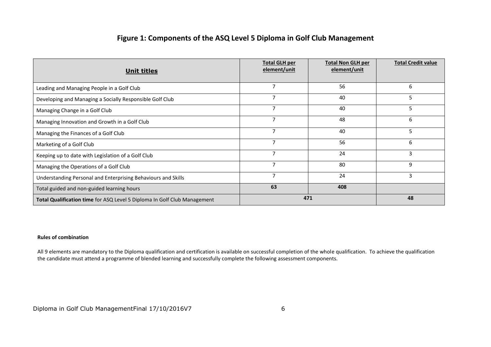### **Figure 1: Components of the ASQ Level 5 Diploma in Golf Club Management**

| <b>Unit titles</b>                                                       | <b>Total GLH per</b><br>element/unit | <b>Total Non GLH per</b><br>element/unit | <b>Total Credit value</b> |
|--------------------------------------------------------------------------|--------------------------------------|------------------------------------------|---------------------------|
| Leading and Managing People in a Golf Club                               | 7                                    | 56                                       | 6                         |
| Developing and Managing a Socially Responsible Golf Club                 | 7                                    | 40                                       | 5                         |
| Managing Change in a Golf Club                                           | $\overline{7}$                       | 40                                       | 5                         |
| Managing Innovation and Growth in a Golf Club                            |                                      | 48                                       | 6                         |
| Managing the Finances of a Golf Club                                     | 7                                    | 40                                       | 5                         |
| Marketing of a Golf Club                                                 | 7                                    | 56                                       | 6                         |
| Keeping up to date with Legislation of a Golf Club                       | $\overline{7}$                       | 24                                       | 3                         |
| Managing the Operations of a Golf Club                                   | $\overline{7}$                       | 80                                       | 9                         |
| Understanding Personal and Enterprising Behaviours and Skills            | 7                                    | 24                                       | 3                         |
| Total guided and non-guided learning hours                               | 63                                   | 408                                      |                           |
| Total Qualification time for ASQ Level 5 Diploma In Golf Club Management | 471                                  | 48                                       |                           |

#### **Rules of combination**

All 9 elements are mandatory to the Diploma qualification and certification is available on successful completion of the whole qualification. To achieve the qualification the candidate must attend a programme of blended learning and successfully complete the following assessment components.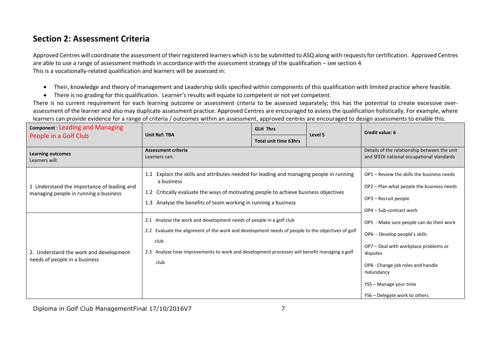# **Section 2: Assessment Criteria**

Approved Centres will coordinate the assessment of their registered learners which is to be submitted to ASQ along with requests for certification. Approved Centres are able to use a range of assessment methods in accordance with the assessment strategy of the qualification – see section 4 This is a vocationally-related qualification and learners will be assessed in:

- Their, knowledge and theory of management and Leadership skills specified within components of this qualification with limited practice where feasible.
- There is no grading for this qualification. Learner's results will equate to competent or not yet competent.

There is no current requirement for each learning outcome or assessment criteria to be assessed separately; this has the potential to create excessive overassessment of the learner and also may duplicate assessment practice. Approved Centres are encouraged to assess the qualification holistically. For example, where learners can provide evidence for a range of criteria / outcomes within an assessment, approved centres are encouraged to design assessments to enable this.

<span id="page-7-0"></span>

| <b>Component: Leading and Managing</b>                                              |                                                                                                                                                                                                                                                                                        | <b>GLH 7hrs</b>              | <b>Credit value: 6</b> |                                                                                                                                                                                                                                               |
|-------------------------------------------------------------------------------------|----------------------------------------------------------------------------------------------------------------------------------------------------------------------------------------------------------------------------------------------------------------------------------------|------------------------------|------------------------|-----------------------------------------------------------------------------------------------------------------------------------------------------------------------------------------------------------------------------------------------|
| People in a Golf Club                                                               | <b>Unit Ref: TBA</b>                                                                                                                                                                                                                                                                   | <b>Total unit time 63hrs</b> | Level 5                |                                                                                                                                                                                                                                               |
| <b>Learning outcomes</b><br>Learners will:                                          | <b>Assessment criteria</b><br>Learners can:                                                                                                                                                                                                                                            |                              |                        | Details of the relationship between the unit<br>and SFEDI national occupational standards                                                                                                                                                     |
| 1 Understand the importance of leading and<br>managing people in running a business | 1.1 Explain the skills and attributes needed for leading and managing people in running<br>a business<br>1.2 Critically evaluate the ways of motivating people to achieve business objectives<br>Analyse the benefits of team working in running a business<br>1.3                     |                              |                        | OP1 – Review the skills the business needs<br>OP2 - Plan what people the business needs<br>OP3 - Recruit people<br>OP4 - Sub-contract work                                                                                                    |
| 2. Understand the work and development<br>needs of people in a business             | 2.1 Analyse the work and development needs of people in a golf club<br>2.2 Evaluate the alignment of the work and development needs of people to the objectives of golf<br>club<br>2.3 Analyse how improvements to work and development processes will benefit managing a golf<br>club |                              |                        | OP5 - Make sure people can do their work<br>OP6- - Develop people's skills<br>OP7 - Deal with workplace problems or<br>disputes<br>OP8 - Change job roles and handle<br>redundancy<br>YS5 - Manage your time<br>YS6 - Delegate work to others |

Diploma in Golf Club ManagementFinal 17/10/2016V7 7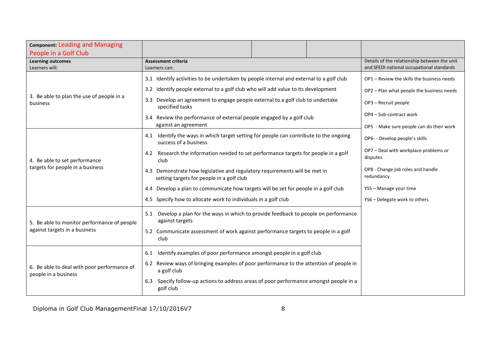<span id="page-8-0"></span>

| <b>Component: Leading and Managing</b><br>People in a Golf Club     |                                                                                                                         |  |  |                                                   |
|---------------------------------------------------------------------|-------------------------------------------------------------------------------------------------------------------------|--|--|---------------------------------------------------|
| <b>Learning outcomes</b>                                            | <b>Assessment criteria</b>                                                                                              |  |  | Details of the relationship between the unit      |
| Learners will:                                                      | Learners can:                                                                                                           |  |  | and SFEDI national occupational standards         |
|                                                                     | 3.1 Identify activities to be undertaken by people internal and external to a golf club                                 |  |  | OP1 - Review the skills the business needs        |
|                                                                     | 3.2 Identify people external to a golf club who will add value to its development                                       |  |  | OP2 - Plan what people the business needs         |
| 3. Be able to plan the use of people in a<br>business               | 3.3 Develop an agreement to engage people external to a golf club to undertake<br>specified tasks                       |  |  | OP3 - Recruit people                              |
|                                                                     | 3.4 Review the performance of external people engaged by a golf club                                                    |  |  | OP4 - Sub-contract work                           |
|                                                                     | against an agreement                                                                                                    |  |  | OP5 - Make sure people can do their work          |
|                                                                     | 4.1 Identify the ways in which target setting for people can contribute to the ongoing<br>success of a business         |  |  | OP6- - Develop people's skills                    |
| 4. Be able to set performance                                       | 4.2 Research the information needed to set performance targets for people in a golf<br>club                             |  |  | OP7 - Deal with workplace problems or<br>disputes |
| targets for people in a business                                    | 4.3 Demonstrate how legislative and regulatory requirements will be met in<br>setting targets for people in a golf club |  |  | OP8 - Change job roles and handle<br>redundancy   |
|                                                                     | 4.4 Develop a plan to communicate how targets will be set for people in a golf club                                     |  |  | YS5 - Manage your time                            |
|                                                                     | 4.5 Specify how to allocate work to individuals in a golf club                                                          |  |  | YS6 - Delegate work to others                     |
| 5. Be able to monitor performance of people                         | 5.1 Develop a plan for the ways in which to provide feedback to people on performance<br>against targets                |  |  |                                                   |
| against targets in a business                                       | 5.2 Communicate assessment of work against performance targets to people in a golf<br>club                              |  |  |                                                   |
|                                                                     | Identify examples of poor performance amongst people in a golf club<br>6.1                                              |  |  |                                                   |
| 6. Be able to deal with poor performance of<br>people in a business | 6.2 Review ways of bringing examples of poor performance to the attention of people in<br>a golf club                   |  |  |                                                   |
|                                                                     | Specify follow-up actions to address areas of poor performance amongst people in a<br>6.3<br>golf club                  |  |  |                                                   |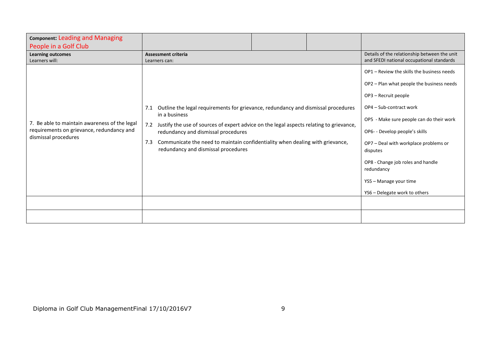| <b>Component: Leading and Managing</b><br>People in a Golf Club                                                    |                                                                                                                                                                                                                                                                                                                                                                                   |  |                                                                                                                                                                                                                                                                                                                                                                                             |
|--------------------------------------------------------------------------------------------------------------------|-----------------------------------------------------------------------------------------------------------------------------------------------------------------------------------------------------------------------------------------------------------------------------------------------------------------------------------------------------------------------------------|--|---------------------------------------------------------------------------------------------------------------------------------------------------------------------------------------------------------------------------------------------------------------------------------------------------------------------------------------------------------------------------------------------|
| <b>Learning outcomes</b><br>Learners will:                                                                         | <b>Assessment criteria</b><br>Learners can:                                                                                                                                                                                                                                                                                                                                       |  | Details of the relationship between the unit<br>and SFEDI national occupational standards                                                                                                                                                                                                                                                                                                   |
| 7. Be able to maintain awareness of the legal<br>requirements on grievance, redundancy and<br>dismissal procedures | Outline the legal requirements for grievance, redundancy and dismissal procedures<br>7.1<br>in a business<br>Justify the use of sources of expert advice on the legal aspects relating to grievance,<br>7.2<br>redundancy and dismissal procedures<br>Communicate the need to maintain confidentiality when dealing with grievance,<br>7.3<br>redundancy and dismissal procedures |  | OP1 - Review the skills the business needs<br>OP2 - Plan what people the business needs<br>OP3 - Recruit people<br>OP4 - Sub-contract work<br>OP5 - Make sure people can do their work<br>OP6- - Develop people's skills<br>OP7 - Deal with workplace problems or<br>disputes<br>OP8 - Change job roles and handle<br>redundancy<br>YS5 - Manage your time<br>YS6 - Delegate work to others |
|                                                                                                                    |                                                                                                                                                                                                                                                                                                                                                                                   |  |                                                                                                                                                                                                                                                                                                                                                                                             |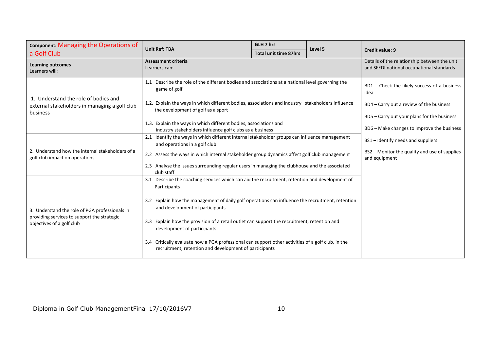| Component: Managing the Operations of                                                             | <b>Unit Ref: TBA</b>                                                                                                                                         | GLH 7 hrs                                                                                 | Level 5 |                                                                |
|---------------------------------------------------------------------------------------------------|--------------------------------------------------------------------------------------------------------------------------------------------------------------|-------------------------------------------------------------------------------------------|---------|----------------------------------------------------------------|
| a Golf Club                                                                                       |                                                                                                                                                              | <b>Total unit time 87hrs</b>                                                              |         | <b>Credit value: 9</b>                                         |
| <b>Learning outcomes</b><br>Learners will:                                                        | <b>Assessment criteria</b><br>Learners can:                                                                                                                  | Details of the relationship between the unit<br>and SFEDI national occupational standards |         |                                                                |
|                                                                                                   | 1.1 Describe the role of the different bodies and associations at a national level governing the<br>game of golf                                             | BD1 - Check the likely success of a business<br>idea                                      |         |                                                                |
| 1. Understand the role of bodies and<br>external stakeholders in managing a golf club<br>business | 1.2. Explain the ways in which different bodies, associations and industry stakeholders influence<br>the development of golf as a sport                      | BD4 – Carry out a review of the business                                                  |         |                                                                |
|                                                                                                   |                                                                                                                                                              |                                                                                           |         | BD5 – Carry out your plans for the business                    |
|                                                                                                   | 1.3. Explain the ways in which different bodies, associations and<br>industry stakeholders influence golf clubs as a business                                |                                                                                           |         | BD6 - Make changes to improve the business                     |
|                                                                                                   | 2.1 Identify the ways in which different internal stakeholder groups can influence management<br>and operations in a golf club                               |                                                                                           |         | BS1 – Identify needs and suppliers                             |
| 2. Understand how the internal stakeholders of a<br>golf club impact on operations                | 2.2 Assess the ways in which internal stakeholder group dynamics affect golf club management                                                                 |                                                                                           |         | BS2 - Monitor the quality and use of supplies<br>and equipment |
|                                                                                                   | 2.3 Analyse the issues surrounding regular users in managing the clubhouse and the associated<br>club staff                                                  |                                                                                           |         |                                                                |
|                                                                                                   | 3.1 Describe the coaching services which can aid the recruitment, retention and development of<br>Participants                                               |                                                                                           |         |                                                                |
| 3. Understand the role of PGA professionals in                                                    | 3.2 Explain how the management of daily golf operations can influence the recruitment, retention<br>and development of participants                          |                                                                                           |         |                                                                |
| providing services to support the strategic<br>objectives of a golf club                          | 3.3 Explain how the provision of a retail outlet can support the recruitment, retention and<br>development of participants                                   |                                                                                           |         |                                                                |
|                                                                                                   | 3.4 Critically evaluate how a PGA professional can support other activities of a golf club, in the<br>recruitment, retention and development of participants |                                                                                           |         |                                                                |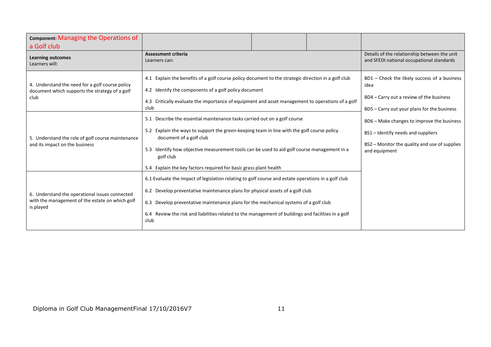| Component: Managing the Operations of<br>a Golf club                                                           |                                                                                                                                                                                                                                                                                                                                                                                             |  |  |                                                                                                                                                    |
|----------------------------------------------------------------------------------------------------------------|---------------------------------------------------------------------------------------------------------------------------------------------------------------------------------------------------------------------------------------------------------------------------------------------------------------------------------------------------------------------------------------------|--|--|----------------------------------------------------------------------------------------------------------------------------------------------------|
| <b>Learning outcomes</b><br>Learners will:                                                                     | <b>Assessment criteria</b><br>Learners can:                                                                                                                                                                                                                                                                                                                                                 |  |  | Details of the relationship between the unit<br>and SFEDI national occupational standards                                                          |
| 4. Understand the need for a golf course policy<br>document which supports the strategy of a golf<br>club      | 4.1 Explain the benefits of a golf course policy document to the strategic direction in a golf club<br>4.2 Identify the components of a golf policy document<br>4.3 Critically evaluate the importance of equipment and asset management to operations of a golf<br>club                                                                                                                    |  |  | BD1 - Check the likely success of a business<br>idea<br>BD4 – Carry out a review of the business<br>BD5 - Carry out your plans for the business    |
| 5. Understand the role of golf course maintenance<br>and its impact on the business                            | 5.1 Describe the essential maintenance tasks carried out on a golf course<br>5.2 Explain the ways to support the green-keeping team in line with the golf course policy<br>document of a golf club<br>5.3 Identify how objective measurement tools can be used to aid golf course management in a<br>golf club<br>5.4 Explain the key factors required for basic grass plant health         |  |  | BD6 – Make changes to improve the business<br>BS1 – Identify needs and suppliers<br>BS2 - Monitor the quality and use of supplies<br>and equipment |
| 6. Understand the operational issues connected<br>with the management of the estate on which golf<br>is played | 6.1 Evaluate the impact of legislation relating to golf course and estate operations in a golf club<br>6.2 Develop preventative maintenance plans for physical assets of a golf club<br>6.3 Develop preventative maintenance plans for the mechanical systems of a golf club<br>6.4 Review the risk and liabilities related to the management of buildings and facilities in a golf<br>club |  |  |                                                                                                                                                    |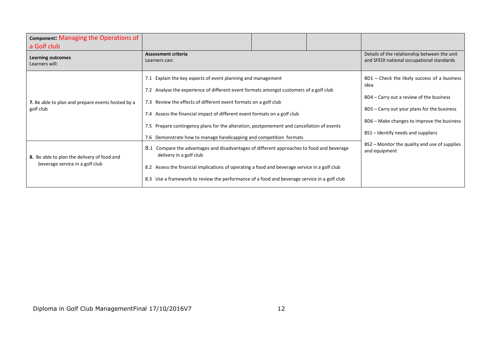| Component: Managing the Operations of<br>a Golf club                           |                                                                                                                                                                                                                                                                                                                                                                                                                                                                            |  |                                                                                                                                                                                                                                       |
|--------------------------------------------------------------------------------|----------------------------------------------------------------------------------------------------------------------------------------------------------------------------------------------------------------------------------------------------------------------------------------------------------------------------------------------------------------------------------------------------------------------------------------------------------------------------|--|---------------------------------------------------------------------------------------------------------------------------------------------------------------------------------------------------------------------------------------|
| <b>Learning outcomes</b><br>Learners will:                                     | <b>Assessment criteria</b><br>Learners can:                                                                                                                                                                                                                                                                                                                                                                                                                                |  | Details of the relationship between the unit<br>and SFEDI national occupational standards                                                                                                                                             |
| 7. Be able to plan and prepare events hosted by a<br>golf club                 | 7.1 Explain the key aspects of event planning and management<br>7.2 Analyse the experience of different event formats amongst customers of a golf club<br>7.3 Review the effects of different event formats on a golf club<br>7.4 Assess the financial impact of different event formats on a golf club<br>7.5 Prepare contingency plans for the alteration, postponement and cancellation of events<br>7.6 Demonstrate how to manage handicapping and competition formats |  | $BD1$ – Check the likely success of a business<br>idea<br>BD4 – Carry out a review of the business<br>BD5 – Carry out your plans for the business<br>BD6 - Make changes to improve the business<br>BS1 – Identify needs and suppliers |
| 8. Be able to plan the delivery of food and<br>beverage service in a golf club | 8.1<br>Compare the advantages and disadvantages of different approaches to food and beverage<br>delivery in a golf club<br>8.2 Assess the financial implications of operating a food and beverage service in a golf club<br>8.3 Use a framework to review the performance of a food and beverage service in a golf club                                                                                                                                                    |  | BS2 – Monitor the quality and use of supplies<br>and equipment                                                                                                                                                                        |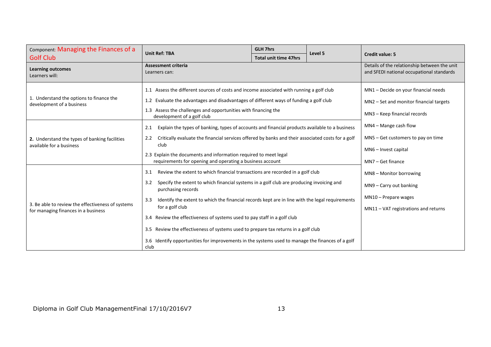| Component: Managing the Finances of a                                                    | <b>Unit Ref: TBA</b>                                                                                                                  | <b>GLH 7hrs</b>                                                                                | Level 5 |                                                                                           |
|------------------------------------------------------------------------------------------|---------------------------------------------------------------------------------------------------------------------------------------|------------------------------------------------------------------------------------------------|---------|-------------------------------------------------------------------------------------------|
| <b>Golf Club</b>                                                                         |                                                                                                                                       | <b>Total unit time 47hrs</b>                                                                   |         | <b>Credit value: 5</b>                                                                    |
| <b>Learning outcomes</b><br>Learners will:                                               | <b>Assessment criteria</b><br>Learners can:                                                                                           |                                                                                                |         | Details of the relationship between the unit<br>and SFEDI national occupational standards |
|                                                                                          | 1.1 Assess the different sources of costs and income associated with running a golf club                                              |                                                                                                |         | MN1 - Decide on your financial needs                                                      |
| 1. Understand the options to finance the<br>development of a business                    | 1.2 Evaluate the advantages and disadvantages of different ways of funding a golf club                                                |                                                                                                |         | MN2 - Set and monitor financial targets                                                   |
|                                                                                          | 1.3 Assess the challenges and opportunities with financing the<br>development of a golf club                                          |                                                                                                |         | MN3 - Keep financial records                                                              |
|                                                                                          | 2.1                                                                                                                                   | Explain the types of banking, types of accounts and financial products available to a business |         |                                                                                           |
| 2. Understand the types of banking facilities                                            | Critically evaluate the financial services offered by banks and their associated costs for a golf<br>2.2                              |                                                                                                |         | MN5 - Get customers to pay on time                                                        |
| available for a business                                                                 | club<br>2.3 Explain the documents and information required to meet legal<br>requirements for opening and operating a business account |                                                                                                |         | MN6 - Invest capital<br>MN7 - Get finance                                                 |
|                                                                                          | Review the extent to which financial transactions are recorded in a golf club<br>3.1                                                  |                                                                                                |         | MN8 - Monitor borrowing                                                                   |
|                                                                                          | Specify the extent to which financial systems in a golf club are producing invoicing and<br>3.2<br>purchasing records                 |                                                                                                |         | MN9 - Carry out banking                                                                   |
|                                                                                          | Identify the extent to which the financial records kept are in line with the legal requirements<br>3.3                                |                                                                                                |         | $MN10$ – Prepare wages                                                                    |
| 3. Be able to review the effectiveness of systems<br>for managing finances in a business | for a golf club                                                                                                                       |                                                                                                |         | $MN11 - VAT$ registrations and returns                                                    |
|                                                                                          | 3.4 Review the effectiveness of systems used to pay staff in a golf club                                                              |                                                                                                |         |                                                                                           |
|                                                                                          | 3.5 Review the effectiveness of systems used to prepare tax returns in a golf club                                                    |                                                                                                |         |                                                                                           |
|                                                                                          | 3.6 Identify opportunities for improvements in the systems used to manage the finances of a golf<br>club                              |                                                                                                |         |                                                                                           |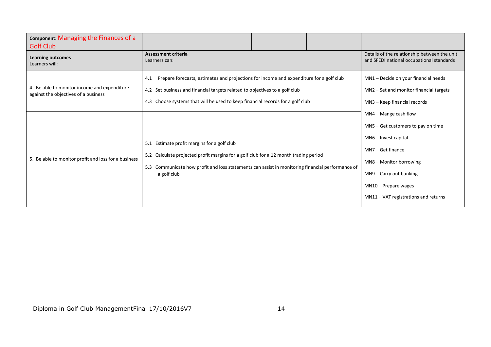| Component: Managing the Finances of a<br><b>Golf Club</b>                            |                                                                                                                                                                                                                                                                 |  |  |                                                                                                                                                                                                                                       |
|--------------------------------------------------------------------------------------|-----------------------------------------------------------------------------------------------------------------------------------------------------------------------------------------------------------------------------------------------------------------|--|--|---------------------------------------------------------------------------------------------------------------------------------------------------------------------------------------------------------------------------------------|
| <b>Learning outcomes</b><br>Learners will:                                           | <b>Assessment criteria</b><br>Learners can:                                                                                                                                                                                                                     |  |  | Details of the relationship between the unit<br>and SFEDI national occupational standards                                                                                                                                             |
| 4. Be able to monitor income and expenditure<br>against the objectives of a business | Prepare forecasts, estimates and projections for income and expenditure for a golf club<br>4.1<br>4.2 Set business and financial targets related to objectives to a golf club<br>4.3 Choose systems that will be used to keep financial records for a golf club |  |  | MN1 - Decide on your financial needs<br>MN2 - Set and monitor financial targets<br>MN3 - Keep financial records                                                                                                                       |
| 5. Be able to monitor profit and loss for a business                                 | 5.1 Estimate profit margins for a golf club<br>5.2 Calculate projected profit margins for a golf club for a 12 month trading period<br>5.3 Communicate how profit and loss statements can assist in monitoring financial performance of<br>a golf club          |  |  | $MN4 - Mange$ cash flow<br>MN5 - Get customers to pay on time<br>MN6 - Invest capital<br>MN7-Get finance<br>MN8 - Monitor borrowing<br>$M N9 - Carry$ out banking<br>$MN10$ – Prepare wages<br>$MN11 - VAT$ registrations and returns |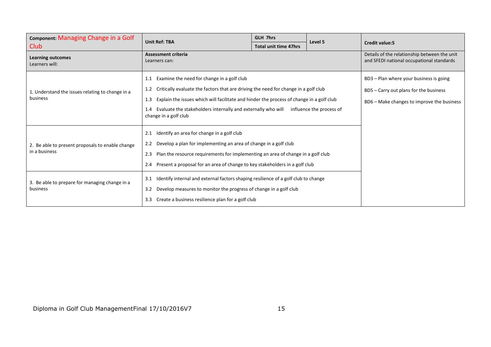| Component: Managing Change in a Golf             | <b>Unit Ref: TBA</b>                                                                                                  | GLH 7hrs                                                                                 | Level 5 |                                                                                           |
|--------------------------------------------------|-----------------------------------------------------------------------------------------------------------------------|------------------------------------------------------------------------------------------|---------|-------------------------------------------------------------------------------------------|
| Club.                                            |                                                                                                                       | <b>Total unit time 47hrs</b>                                                             |         | <b>Credit value:5</b>                                                                     |
| <b>Learning outcomes</b><br>Learners will:       | <b>Assessment criteria</b><br>Learners can:                                                                           |                                                                                          |         | Details of the relationship between the unit<br>and SFEDI national occupational standards |
|                                                  | Examine the need for change in a golf club<br>1.1                                                                     |                                                                                          |         | BD3 - Plan where your business is going                                                   |
| 1. Understand the issues relating to change in a | Critically evaluate the factors that are driving the need for change in a golf club<br>1.2                            |                                                                                          |         | BD5 - Carry out plans for the business                                                    |
| business                                         | 1.3                                                                                                                   | Explain the issues which will facilitate and hinder the process of change in a golf club |         |                                                                                           |
|                                                  | Evaluate the stakeholders internally and externally who will influence the process of<br>1.4<br>change in a golf club |                                                                                          |         |                                                                                           |
|                                                  | Identify an area for change in a golf club<br>2.1                                                                     |                                                                                          |         |                                                                                           |
| 2. Be able to present proposals to enable change | Develop a plan for implementing an area of change in a golf club<br>2.2                                               |                                                                                          |         |                                                                                           |
| in a business                                    | Plan the resource requirements for implementing an area of change in a golf club<br>2.3                               |                                                                                          |         |                                                                                           |
|                                                  | Present a proposal for an area of change to key stakeholders in a golf club<br>2.4                                    |                                                                                          |         |                                                                                           |
| 3. Be able to prepare for managing change in a   | Identify internal and external factors shaping resilience of a golf club to change<br>3.1                             |                                                                                          |         |                                                                                           |
| business                                         | Develop measures to monitor the progress of change in a golf club<br>3.2                                              |                                                                                          |         |                                                                                           |
|                                                  | Create a business resilience plan for a golf club<br>3.3                                                              |                                                                                          |         |                                                                                           |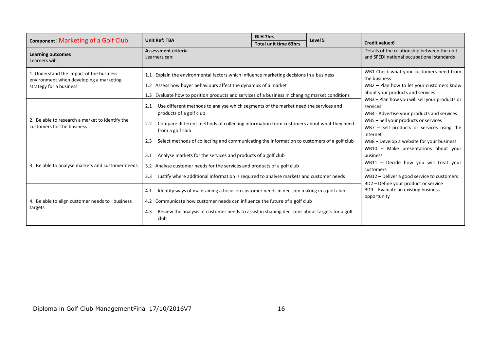| Component: Marketing of a Golf Club                                                                            | <b>Unit Ref: TBA</b>                                                                                                                                                                                                                                                                                                                             | <b>GLH 7hrs</b>                                                                                                                          | Level 5 | <b>Credit value:6</b>                                                                                                                                                                                                                                   |  |
|----------------------------------------------------------------------------------------------------------------|--------------------------------------------------------------------------------------------------------------------------------------------------------------------------------------------------------------------------------------------------------------------------------------------------------------------------------------------------|------------------------------------------------------------------------------------------------------------------------------------------|---------|---------------------------------------------------------------------------------------------------------------------------------------------------------------------------------------------------------------------------------------------------------|--|
| <b>Learning outcomes</b><br>Learners will:                                                                     | <b>Assessment criteria</b><br>Learners can:                                                                                                                                                                                                                                                                                                      | <b>Total unit time 63hrs</b>                                                                                                             |         | Details of the relationship between the unit<br>and SFEDI national occupational standards                                                                                                                                                               |  |
| 1. Understand the impact of the business<br>environment when developing a marketing<br>strategy for a business | 1.1 Explain the environmental factors which influence marketing decisions in a business<br>1.2 Assess how buyer behaviours affect the dynamics of a market<br>1.3 Evaluate how to position products and services of a business in changing market conditions                                                                                     | WB1 Check what your customers need from<br>the business<br>WB2 - Plan how to let your customers know<br>about your products and services |         |                                                                                                                                                                                                                                                         |  |
| 2. Be able to research a market to identify the<br>customers for the business                                  | Use different methods to analyse which segments of the market need the services and<br>2.1<br>products of a golf club<br>Compare different methods of collecting information from customers about what they need<br>2.2<br>from a golf club<br>Select methods of collecting and communicating the information to customers of a golf club<br>2.3 |                                                                                                                                          |         | WB3 - Plan how you will sell your products or<br>services<br>WB4 - Advertise your products and services<br>WB5 - Sell your products or services<br>$WB7 - Sell$ products or services using the<br>Internet<br>WB8 – Develop a website for your business |  |
| 3. Be able to analyse markets and customer needs                                                               | Analyse markets for the services and products of a golf club<br>3.1<br>3.2 Analyse customer needs for the services and products of a golf club<br>Justify where additional information is required to analyse markets and customer needs<br>3.3                                                                                                  |                                                                                                                                          |         | WB10 - Make presentations about your<br>business<br>WB11 - Decide how you will treat your<br>customers<br>WB12 - Deliver a good service to customers                                                                                                    |  |
| 4. Be able to align customer needs to business<br>targets                                                      | Identify ways of maintaining a focus on customer needs in decision making in a golf club<br>4.1<br>4.2 Communicate how customer needs can influence the future of a golf club<br>Review the analysis of customer needs to assist in shaping decisions about targets for a golf<br>4.3<br>club                                                    |                                                                                                                                          |         | BD2 - Define your product or service<br>BD9 - Evaluate an existing business<br>opportunity                                                                                                                                                              |  |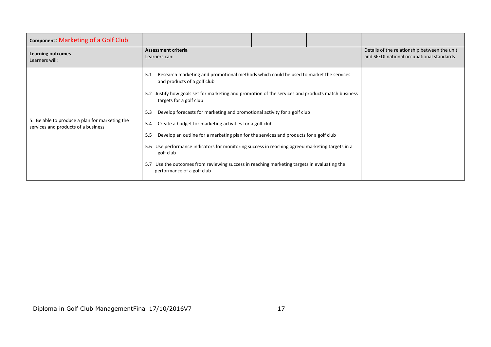| Component: Marketing of a Golf Club                                                   |                                                                                                                                                                                                                                                                                                                                                                                                                                                                                                                                                                                                                                                                                                                                                                   |  |  |                                                                                           |
|---------------------------------------------------------------------------------------|-------------------------------------------------------------------------------------------------------------------------------------------------------------------------------------------------------------------------------------------------------------------------------------------------------------------------------------------------------------------------------------------------------------------------------------------------------------------------------------------------------------------------------------------------------------------------------------------------------------------------------------------------------------------------------------------------------------------------------------------------------------------|--|--|-------------------------------------------------------------------------------------------|
| <b>Learning outcomes</b><br>Learners will:                                            | <b>Assessment criteria</b><br>Learners can:                                                                                                                                                                                                                                                                                                                                                                                                                                                                                                                                                                                                                                                                                                                       |  |  | Details of the relationship between the unit<br>and SFEDI national occupational standards |
| 5. Be able to produce a plan for marketing the<br>services and products of a business | Research marketing and promotional methods which could be used to market the services<br>5.1<br>and products of a golf club<br>5.2 Justify how goals set for marketing and promotion of the services and products match business<br>targets for a golf club<br>Develop forecasts for marketing and promotional activity for a golf club<br>5.3<br>Create a budget for marketing activities for a golf club<br>5.4<br>Develop an outline for a marketing plan for the services and products for a golf club<br>5.5<br>5.6 Use performance indicators for monitoring success in reaching agreed marketing targets in a<br>golf club<br>Use the outcomes from reviewing success in reaching marketing targets in evaluating the<br>5.7<br>performance of a golf club |  |  |                                                                                           |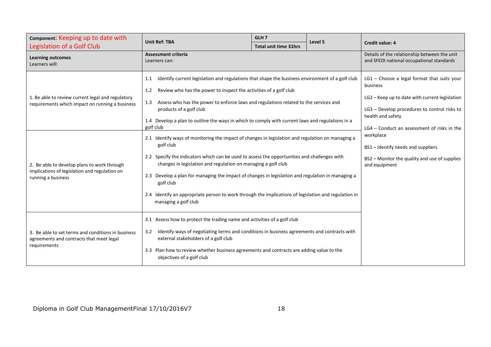| Component: Keeping up to date with                                                                                 | <b>Unit Ref: TBA</b>                                                                                                                                                                                                                                                                                                                                                                                                                                                                                                                           | GLH <sub>7</sub>             | Level 5 |                                                                                                                                                                                  |
|--------------------------------------------------------------------------------------------------------------------|------------------------------------------------------------------------------------------------------------------------------------------------------------------------------------------------------------------------------------------------------------------------------------------------------------------------------------------------------------------------------------------------------------------------------------------------------------------------------------------------------------------------------------------------|------------------------------|---------|----------------------------------------------------------------------------------------------------------------------------------------------------------------------------------|
| Legislation of a Golf Club                                                                                         |                                                                                                                                                                                                                                                                                                                                                                                                                                                                                                                                                | <b>Total unit time 31hrs</b> |         | <b>Credit value: 4</b>                                                                                                                                                           |
| Learning outcomes<br>Learners will:                                                                                | <b>Assessment criteria</b><br>Learners can:                                                                                                                                                                                                                                                                                                                                                                                                                                                                                                    |                              |         | Details of the relationship between the unit<br>and SFEDI national occupational standards                                                                                        |
| 1. Be able to review current legal and regulatory<br>requirements which impact on running a business               | Identify current legislation and regulations that shape the business environment of a golf club<br>1.1<br>Review who has the power to inspect the activities of a golf club<br>1.2<br>Assess who has the power to enforce laws and regulations related to the services and<br>1.3<br>products of a golf club<br>1.4 Develop a plan to outline the ways in which to comply with current laws and regulations in a                                                                                                                               |                              |         | $LG1$ – Choose a legal format that suits your<br>business<br>LG2 - Keep up to date with current legislation<br>LG3 - Develop procedures to control risks to<br>health and safety |
| 2. Be able to develop plans to work through<br>implications of legislation and regulation on<br>running a business | golf club<br>2.1 Identify ways of monitoring the impact of changes in legislation and regulation on managing a<br>golf club<br>2.2 Specify the indicators which can be used to assess the opportunities and challenges with<br>changes in legislation and regulation on managing a golf club<br>2.3 Develop a plan for managing the impact of changes in legislation and regulation in managing a<br>golf club<br>2.4 Identify an appropriate person to work through the implications of legislation and regulation in<br>managing a golf club |                              |         | $LG4$ – Conduct an assessment of risks in the<br>workplace<br>BS1 - Identify needs and suppliers<br>BS2 - Monitor the quality and use of supplies<br>and equipment               |
| 3. Be able to set terms and conditions in business<br>agreements and contracts that meet legal<br>requirements     | 3.1 Assess how to protect the trading name and activities of a golf club<br>Identify ways of negotiating terms and conditions in business agreements and contracts with<br>3.2<br>external stakeholders of a golf club<br>3.3 Plan how to review whether business agreements and contracts are adding value to the<br>objectives of a golf club                                                                                                                                                                                                |                              |         |                                                                                                                                                                                  |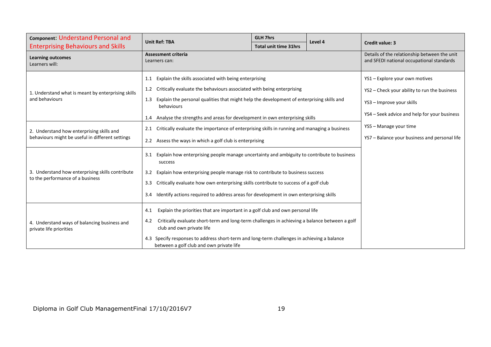| Component: Understand Personal and                                      | <b>Unit Ref: TBA</b>                                                                                                                       | <b>GLH 7hrs</b>              | Level 4                                                                                   | <b>Credit value: 3</b>                        |
|-------------------------------------------------------------------------|--------------------------------------------------------------------------------------------------------------------------------------------|------------------------------|-------------------------------------------------------------------------------------------|-----------------------------------------------|
| <b>Enterprising Behaviours and Skills</b>                               |                                                                                                                                            | <b>Total unit time 31hrs</b> |                                                                                           |                                               |
| <b>Learning outcomes</b><br>Learners will:                              | <b>Assessment criteria</b><br>Learners can:                                                                                                |                              | Details of the relationship between the unit<br>and SFEDI national occupational standards |                                               |
|                                                                         | Explain the skills associated with being enterprising<br>1.1                                                                               |                              |                                                                                           | YS1 - Explore your own motives                |
| 1. Understand what is meant by enterprising skills<br>and behaviours    | Critically evaluate the behaviours associated with being enterprising<br>1.2                                                               |                              |                                                                                           | YS2 - Check your ability to run the business  |
|                                                                         | Explain the personal qualities that might help the development of enterprising skills and<br>1.3<br>behaviours                             |                              |                                                                                           | YS3 - Improve your skills                     |
|                                                                         | Analyse the strengths and areas for development in own enterprising skills<br>1.4                                                          |                              |                                                                                           | YS4 - Seek advice and help for your business  |
| 2. Understand how enterprising skills and                               | Critically evaluate the importance of enterprising skills in running and managing a business<br>2.1                                        |                              |                                                                                           | YS5 - Manage your time                        |
| behaviours might be useful in different settings                        | 2.2 Assess the ways in which a golf club is enterprising                                                                                   |                              |                                                                                           | YS7 - Balance your business and personal life |
|                                                                         | Explain how enterprising people manage uncertainty and ambiguity to contribute to business<br>3.1<br>success                               |                              |                                                                                           |                                               |
| 3. Understand how enterprising skills contribute                        | Explain how enterprising people manage risk to contribute to business success<br>3.2                                                       |                              |                                                                                           |                                               |
| to the performance of a business                                        | Critically evaluate how own enterprising skills contribute to success of a golf club<br>3.3                                                |                              |                                                                                           |                                               |
|                                                                         | Identify actions required to address areas for development in own enterprising skills<br>3.4                                               |                              |                                                                                           |                                               |
|                                                                         | Explain the priorities that are important in a golf club and own personal life<br>4.1                                                      |                              |                                                                                           |                                               |
| 4. Understand ways of balancing business and<br>private life priorities | Critically evaluate short-term and long-term challenges in achieving a balance between a golf<br>4.2<br>club and own private life          |                              |                                                                                           |                                               |
|                                                                         | Specify responses to address short-term and long-term challenges in achieving a balance<br>4.3<br>between a golf club and own private life |                              |                                                                                           |                                               |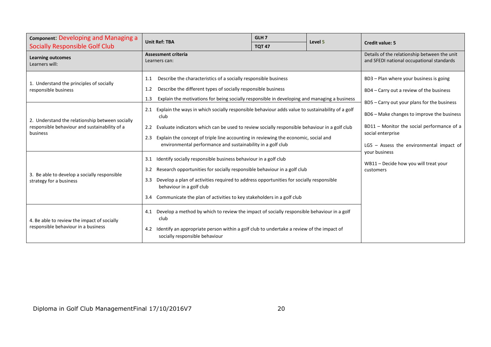| <b>Component: Developing and Managing a</b>                                                                  | <b>Unit Ref: TBA</b>                                                                                                                                                                                                                                                                                                                                                                          | GLH <sub>7</sub> | Level 5 |                                                                                                                                                                                                            |  |
|--------------------------------------------------------------------------------------------------------------|-----------------------------------------------------------------------------------------------------------------------------------------------------------------------------------------------------------------------------------------------------------------------------------------------------------------------------------------------------------------------------------------------|------------------|---------|------------------------------------------------------------------------------------------------------------------------------------------------------------------------------------------------------------|--|
| <b>Socially Responsible Golf Club</b>                                                                        |                                                                                                                                                                                                                                                                                                                                                                                               | <b>TQT 47</b>    |         | <b>Credit value: 5</b>                                                                                                                                                                                     |  |
| <b>Learning outcomes</b><br>Learners will:                                                                   | <b>Assessment criteria</b><br>Learners can:                                                                                                                                                                                                                                                                                                                                                   |                  |         | Details of the relationship between the unit<br>and SFEDI national occupational standards                                                                                                                  |  |
| 1. Understand the principles of socially<br>responsible business                                             | Describe the characteristics of a socially responsible business<br>1.1<br>Describe the different types of socially responsible business<br>1.2<br>Explain the motivations for being socially responsible in developing and managing a business<br>1.3                                                                                                                                         |                  |         | BD3 - Plan where your business is going<br>BD4 - Carry out a review of the business                                                                                                                        |  |
| 2. Understand the relationship between socially<br>responsible behaviour and sustainability of a<br>business | Explain the ways in which socially responsible behaviour adds value to sustainability of a golf<br>2.1<br>club<br>Evaluate indicators which can be used to review socially responsible behaviour in a golf club<br>$2.2^{\circ}$<br>Explain the concept of triple line accounting in reviewing the economic, social and<br>2.3<br>environmental performance and sustainability in a golf club |                  |         | BD5 - Carry out your plans for the business<br>BD6 – Make changes to improve the business<br>BD11 - Monitor the social performance of a<br>social enterprise<br>$LG5$ – Assess the environmental impact of |  |
| 3. Be able to develop a socially responsible<br>strategy for a business                                      | Identify socially responsible business behaviour in a golf club<br>3.1<br>Research opportunities for socially responsible behaviour in a golf club<br>3.2<br>Develop a plan of activities required to address opportunities for socially responsible<br>3.3<br>behaviour in a golf club<br>Communicate the plan of activities to key stakeholders in a golf club<br>3.4                       |                  |         | your business<br>WB11 - Decide how you will treat your<br>customers                                                                                                                                        |  |
| 4. Be able to review the impact of socially<br>responsible behaviour in a business                           | Develop a method by which to review the impact of socially responsible behaviour in a golf<br>4.1<br>club<br>Identify an appropriate person within a golf club to undertake a review of the impact of<br>4.2<br>socially responsible behaviour                                                                                                                                                |                  |         |                                                                                                                                                                                                            |  |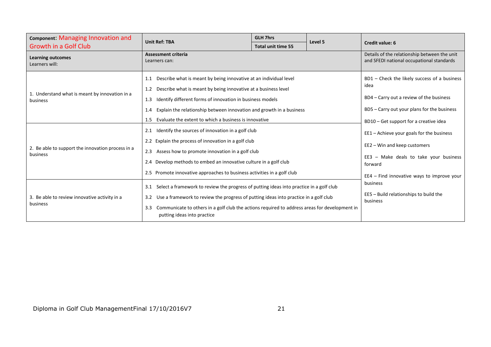| Component: Managing Innovation and                            | <b>Unit Ref: TBA</b>                                                                                                                                                                                                                                                                                                                                                 | <b>GLH 7hrs</b>           | Level 5 |                                                                                                                                                                                           |
|---------------------------------------------------------------|----------------------------------------------------------------------------------------------------------------------------------------------------------------------------------------------------------------------------------------------------------------------------------------------------------------------------------------------------------------------|---------------------------|---------|-------------------------------------------------------------------------------------------------------------------------------------------------------------------------------------------|
| Growth in a Golf Club                                         |                                                                                                                                                                                                                                                                                                                                                                      | <b>Total unit time 55</b> |         | <b>Credit value: 6</b>                                                                                                                                                                    |
| <b>Learning outcomes</b><br>Learners will:                    | <b>Assessment criteria</b><br>Learners can:                                                                                                                                                                                                                                                                                                                          |                           |         | Details of the relationship between the unit<br>and SFEDI national occupational standards                                                                                                 |
| 1. Understand what is meant by innovation in a<br>business    | Describe what is meant by being innovative at an individual level<br>1.1<br>Describe what is meant by being innovative at a business level<br>1.2<br>Identify different forms of innovation in business models<br>1.3<br>Explain the relationship between innovation and growth in a business<br>1.4<br>Evaluate the extent to which a business is innovative<br>1.5 |                           |         | BD1 - Check the likely success of a business<br>idea<br>BD4 – Carry out a review of the business<br>BD5 - Carry out your plans for the business<br>BD10 – Get support for a creative idea |
| 2. Be able to support the innovation process in a<br>business | Identify the sources of innovation in a golf club<br>2.1<br>2.2 Explain the process of innovation in a golf club<br>Assess how to promote innovation in a golf club<br>2.3<br>Develop methods to embed an innovative culture in a golf club<br>2.4<br>2.5 Promote innovative approaches to business activities in a golf club                                        |                           |         | EE1 - Achieve your goals for the business<br>EE2 - Win and keep customers<br>$EE3$ – Make deals to take your business<br>forward<br>EE4 - Find innovative ways to improve your            |
| 3. Be able to review innovative activity in a<br>business     | Select a framework to review the progress of putting ideas into practice in a golf club<br>3.1<br>Use a framework to review the progress of putting ideas into practice in a golf club<br>3.2<br>Communicate to others in a golf club the actions required to address areas for development in<br>3.3<br>putting ideas into practice                                 |                           |         | business<br>EE5 - Build relationships to build the<br>business                                                                                                                            |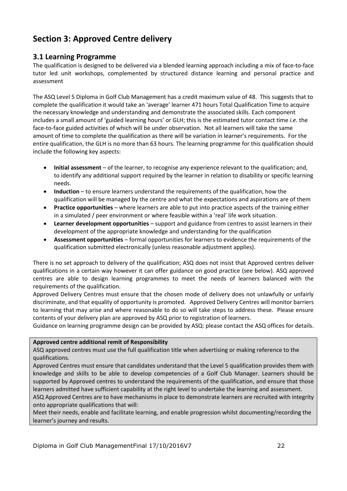# **Section 3: Approved Centre delivery**

### **3.1 Learning Programme**

The qualification is designed to be delivered via a blended learning approach including a mix of face-to-face tutor led unit workshops, complemented by structured distance learning and personal practice and assessment

The ASQ Level 5 Diploma in Golf Club Management has a credit maximum value of 48. This suggests that to complete the qualification it would take an 'average' learner 471 hours Total Qualification Time to acquire the necessary knowledge and understanding and demonstrate the associated skills. Each component includes a small amount of 'guided learning hours' or GLH; this is the estimated tutor contact time *i.e.* the face-to-face guided activities of which will be under observation. Not all learners will take the same amount of time to complete the qualification as there will be variation in learner's requirements. For the entire qualification, the GLH is no more than 63 hours. The learning programme for this qualification should include the following key aspects:

- **Initial assessment** of the learner, to recognise any experience relevant to the qualification; and, to identify any additional support required by the learner in relation to disability or specific learning needs.
- **Induction** to ensure learners understand the requirements of the qualification, how the qualification will be managed by the centre and what the expectations and aspirations are of them
- **Practice opportunities** where learners are able to put into practice aspects of the training either in a simulated / peer environment or where feasible within a 'real' life work situation.
- **•** Learner development opportunities support and guidance from centres to assist learners in their development of the appropriate knowledge and understanding for the qualification
- **Assessment opportunities** formal opportunities for learners to evidence the requirements of the qualification submitted electronically (unless reasonable adjustment applies).

There is no set approach to delivery of the qualification; ASQ does not insist that Approved centres deliver qualifications in a certain way however it can offer guidance on good practice (see below). ASQ approved centres are able to design learning programmes to meet the needs of learners balanced with the requirements of the qualification.

Approved Delivery Centres must ensure that the chosen mode of delivery does not unlawfully or unfairly discriminate, and that equality of opportunity is promoted. Approved Delivery Centres will monitor barriers to learning that may arise and where reasonable to do so will take steps to address these. Please ensure contents of your delivery plan are approved by ASQ prior to registration of learners.

Guidance on learning programme design can be provided by ASQ: please contact the ASQ offices for details.

### **Approved centre additional remit of Responsibility**

ASQ approved centres must use the full qualification title when advertising or making reference to the qualifications.

Approved Centres must ensure that candidates understand that the Level 5 qualification provides them with knowledge and skills to be able to develop competencies of a Golf Club Manager. Learners should be supported by Approved centres to understand the requirements of the qualification, and ensure that those learners admitted have sufficient capability at the right level to undertake the learning and assessment.

ASQ Approved Centres are to have mechanisms in place to demonstrate learners are recruited with integrity onto appropriate qualifications that will:

Meet their needs, enable and facilitate learning, and enable progression whilst documenting/recording the learner's journey and results.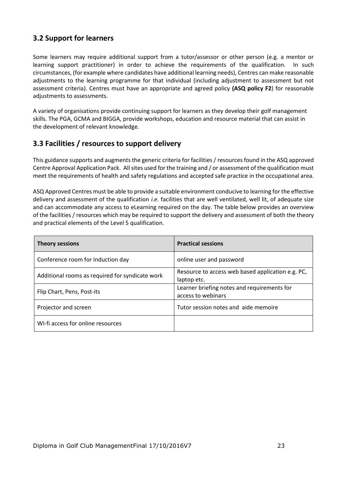### **3.2 Support for learners**

Some learners may require additional support from a tutor/assessor or other person (e.g. a mentor or learning support practitioner) in order to achieve the requirements of the qualification. In such circumstances, (for example where candidates have additional learning needs), Centres can make reasonable adjustments to the learning programme for that individual (including adjustment to assessment but not assessment criteria). Centres must have an appropriate and agreed policy **(ASQ policy F2**) for reasonable adjustments to assessments.

A variety of organisations provide continuing support for learners as they develop their golf management skills. The PGA, GCMA and BIGGA, provide workshops, education and resource material that can assist in the development of relevant knowledge.

### **3.3 Facilities / resources to support delivery**

This guidance supports and augments the generic criteria for facilities / resources found in the ASQ approved Centre Approval Application Pack. All sites used for the training and / or assessment of the qualification must meet the requirements of health and safety regulations and accepted safe practice in the occupational area.

ASQ Approved Centres must be able to provide a suitable environment conducive to learning for the effective delivery and assessment of the qualification *i.e.* facilities that are well ventilated, well lit, of adequate size and can accommodate any access to eLearning required on the day. The table below provides an overview of the facilities / resources which may be required to support the delivery and assessment of both the theory and practical elements of the Level 5 qualification.

<span id="page-23-0"></span>

| <b>Theory sessions</b>                          | <b>Practical sessions</b>                                         |  |  |
|-------------------------------------------------|-------------------------------------------------------------------|--|--|
| Conference room for Induction day               | online user and password                                          |  |  |
| Additional rooms as required for syndicate work | Resource to access web based application e.g. PC,<br>laptop etc.  |  |  |
| Flip Chart, Pens, Post-its                      | Learner briefing notes and requirements for<br>access to webinars |  |  |
| Projector and screen                            | Tutor session notes and aide memoire                              |  |  |
| WI-fi access for online resources               |                                                                   |  |  |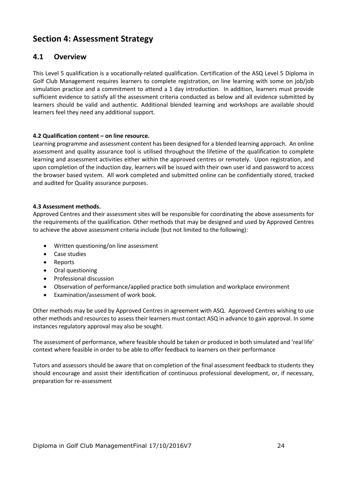## **Section 4: Assessment Strategy**

### **4.1 Overview**

This Level 5 qualification is a vocationally-related qualification. Certification of the ASQ Level 5 Diploma in Golf Club Management requires learners to complete registration, on line learning with some on job/job simulation practice and a commitment to attend a 1 day introduction. In addition, learners must provide sufficient evidence to satisfy all the assessment criteria conducted as below and all evidence submitted by learners should be valid and authentic. Additional blended learning and workshops are available should learners feel they need any additional support.

#### **4.2 Qualification content – on line resource.**

Learning programme and assessment content has been designed for a blended learning approach. An online assessment and quality assurance tool is utilised throughout the lifetime of the qualification to complete learning and assessment activities either within the approved centres or remotely. Upon registration, and upon completion of the induction day, learners will be issued with their own user id and password to access the browser based system. All work completed and submitted online can be confidentially stored, tracked and audited for Quality assurance purposes.

#### **4.3 Assessment methods.**

Approved Centres and their assessment sites will be responsible for coordinating the above assessments for the requirements of the qualification. Other methods that may be designed and used by Approved Centres to achieve the above assessment criteria include (but not limited to the following):

- Written questioning/on line assessment
- Case studies
- Reports
- Oral questioning
- Professional discussion
- Observation of performance/applied practice both simulation and workplace environment
- Examination/assessment of work book.

Other methods may be used by Approved Centres in agreement with ASQ. Approved Centres wishing to use other methods and resources to assess their learners must contact ASQ in advance to gain approval. In some instances regulatory approval may also be sought.

The assessment of performance, where feasible should be taken or produced in both simulated and 'real life' context where feasible in order to be able to offer feedback to learners on their performance

Tutors and assessors should be aware that on completion of the final assessment feedback to students they should encourage and assist their identification of continuous professional development, or, if necessary, preparation for re-assessment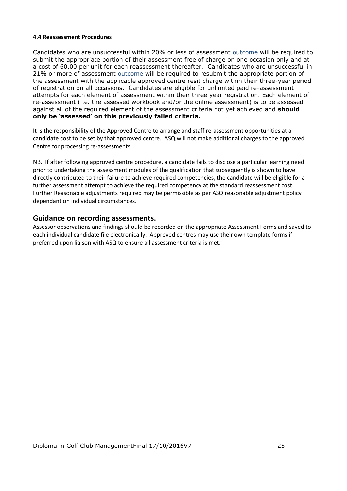#### **4.4 Reassessment Procedures**

Candidates who are unsuccessful within 20% or less of assessment outcome will be required to submit the appropriate portion of their assessment free of charge on one occasion only and at a cost of 60.00 per unit for each reassessment thereafter. Candidates who are unsuccessful in 21% or more of assessment outcome will be required to resubmit the appropriate portion of the assessment with the applicable approved centre resit charge within their three-year period of registration on all occasions. Candidates are eligible for unlimited paid re-assessment attempts for each element of assessment within their three year registration. Each element of re-assessment (i.e. the assessed workbook and/or the online assessment) is to be assessed against all of the required element of the assessment criteria not yet achieved and **should only be 'assessed' on this previously failed criteria.** 

It is the responsibility of the Approved Centre to arrange and staff re-assessment opportunities at a candidate cost to be set by that approved centre. ASQ will not make additional charges to the approved Centre for processing re-assessments.

NB. If after following approved centre procedure, a candidate fails to disclose a particular learning need prior to undertaking the assessment modules of the qualification that subsequently is shown to have directly contributed to their failure to achieve required competencies, the candidate will be eligible for a further assessment attempt to achieve the required competency at the standard reassessment cost. Further Reasonable adjustments required may be permissible as per ASQ reasonable adjustment policy dependant on individual circumstances.

### **Guidance on recording assessments.**

Assessor observations and findings should be recorded on the appropriate Assessment Forms and saved to each individual candidate file electronically. Approved centres may use their own template forms if preferred upon liaison with ASQ to ensure all assessment criteria is met.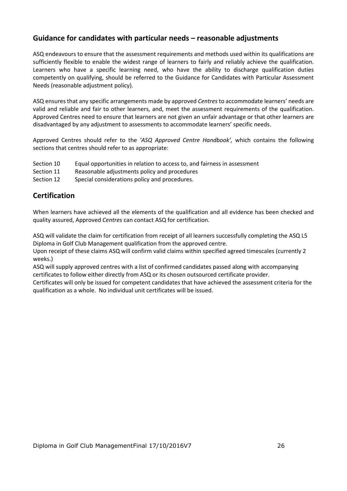### **Guidance for candidates with particular needs – reasonable adjustments**

ASQ endeavours to ensure that the assessment requirements and methods used within its qualifications are sufficiently flexible to enable the widest range of learners to fairly and reliably achieve the qualification. Learners who have a specific learning need, who have the ability to discharge qualification duties competently on qualifying, should be referred to the Guidance for Candidates with Particular Assessment Needs (reasonable adjustment policy).

ASQ ensures that any specific arrangements made by approved *Centres* to accommodate learners' needs are valid and reliable and fair to other learners, and, meet the assessment requirements of the qualification. Approved Centres need to ensure that learners are not given an unfair advantage or that other learners are disadvantaged by any adjustment to assessments to accommodate learners' specific needs.

Approved Centres should refer to the *'ASQ Approved Centre Handbook',* which contains the following sections that centres should refer to as appropriate:

- Section 10 Equal opportunities in relation to access to, and fairness in assessment
- Section 11 Reasonable adjustments policy and procedures
- Section 12 Special considerations policy and procedures.

### **Certification**

When learners have achieved all the elements of the qualification and all evidence has been checked and quality assured, Approved *Centres* can contact ASQ for certification.

ASQ will validate the claim for certification from receipt of all learners successfully completing the ASQ L5 Diploma in Golf Club Management qualification from the approved centre.

Upon receipt of these claims ASQ will confirm valid claims within specified agreed timescales (currently 2 weeks.)

ASQ will supply approved centres with a list of confirmed candidates passed along with accompanying certificates to follow either directly from ASQ or its chosen outsourced certificate provider.

Certificates will only be issued for competent candidates that have achieved the assessment criteria for the qualification as a whole. No individual unit certificates will be issued.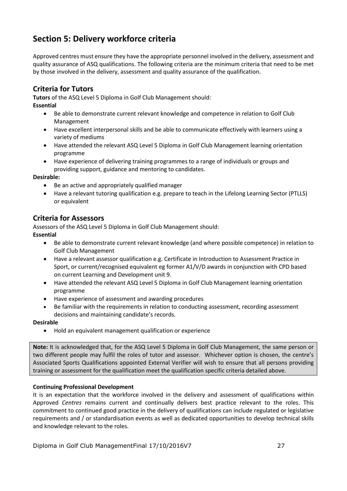# **Section 5: Delivery workforce criteria**

Approved centres must ensure they have the appropriate personnel involved in the delivery, assessment and quality assurance of ASQ qualifications. The following criteria are the minimum criteria that need to be met by those involved in the delivery, assessment and quality assurance of the qualification.

### **Criteria for Tutors**

**Tutors** of the ASQ Level 5 Diploma in Golf Club Management should:

- **Essential**
	- Be able to demonstrate current relevant knowledge and competence in relation to Golf Club Management
	- Have excellent interpersonal skills and be able to communicate effectively with learners using a variety of mediums
	- Have attended the relevant ASQ Level 5 Diploma in Golf Club Management learning orientation programme
	- Have experience of delivering training programmes to a range of individuals or groups and providing support, guidance and mentoring to candidates.

### **Desirable:**

- Be an active and appropriately qualified manager
- Have a relevant tutoring qualification e.g. prepare to teach in the Lifelong Learning Sector (PTLLS) or equivalent

### **Criteria for Assessors**

Assessors of the ASQ Level 5 Diploma in Golf Club Management should:

- **Essential** 
	- Be able to demonstrate current relevant knowledge (and where possible competence) in relation to Golf Club Management
	- Have a relevant assessor qualification e.g. Certificate in Introduction to Assessment Practice in Sport, or current/recognised equivalent eg former A1/V/D awards in conjunction with CPD based on current Learning and Development unit 9.
	- Have attended the relevant ASQ Level 5 Diploma in Golf Club Management learning orientation programme
	- Have experience of assessment and awarding procedures
	- Be familiar with the requirements in relation to conducting assessment, recording assessment decisions and maintaining candidate's records.

#### **Desirable**

Hold an equivalent management qualification or experience

**Note:** It is acknowledged that, for the ASQ Level 5 Diploma in Golf Club Management, the same person or two different people may fulfil the roles of tutor and assessor. Whichever option is chosen, the centre's Associated Sports Qualifications appointed External Verifier will wish to ensure that all persons providing training or assessment for the qualification meet the qualification specific criteria detailed above.

### **Continuing Professional Development**

<span id="page-27-0"></span>It is an expectation that the workforce involved in the delivery and assessment of qualifications within Approved *Centres* remains current and continually delivers best practice relevant to the roles. This commitment to continued good practice in the delivery of qualifications can include regulated or legislative requirements and / or standardisation events as well as dedicated opportunities to develop technical skills and knowledge relevant to the roles.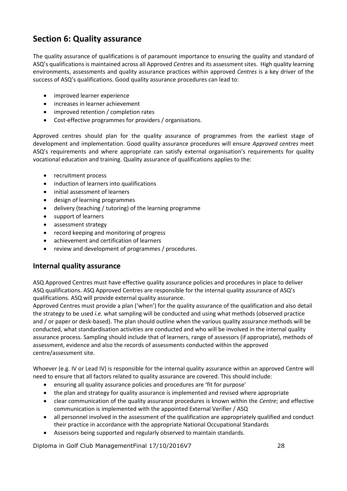# **Section 6: Quality assurance**

The quality assurance of qualifications is of paramount importance to ensuring the quality and standard of ASQ's qualifications is maintained across all Approved *Centres* and its assessment sites. High quality learning environments, assessments and quality assurance practices within approved *Centres* is a key driver of the success of ASQ's qualifications. Good quality assurance procedures can lead to:

- improved learner experience
- increases in learner achievement
- improved retention / completion rates
- Cost-effective programmes for providers / organisations.

Approved centres should plan for the quality assurance of programmes from the earliest stage of development and implementation. Good quality assurance procedures will ensure *Approved centres* meet ASQ's requirements and where appropriate can satisfy external organisation's requirements for quality vocational education and training. Quality assurance of qualifications applies to the:

- recruitment process
- induction of learners into qualifications
- initial assessment of learners
- design of learning programmes
- delivery (teaching / tutoring) of the learning programme
- support of learners
- assessment strategy
- record keeping and monitoring of progress
- achievement and certification of learners
- review and development of programmes / procedures.

### **Internal quality assurance**

ASQ Approved Centres must have effective quality assurance policies and procedures in place to deliver ASQ qualifications. ASQ Approved Centres are responsible for the internal quality assurance of ASQ's qualifications. ASQ will provide external quality assurance.

Approved Centres must provide a plan ('when') for the quality assurance of the qualification and also detail the strategy to be used *i.e.* what sampling will be conducted and using what methods (observed practice and / or paper or desk-based). The plan should outline when the various quality assurance methods will be conducted, what standardisation activities are conducted and who will be involved in the internal quality assurance process. Sampling should include that of learners, range of assessors (if appropriate), methods of assessment, evidence and also the records of assessments conducted within the approved centre/assessment site.

Whoever (e.g. IV or Lead IV) is responsible for the internal quality assurance within an approved Centre will need to ensure that all factors related to quality assurance are covered. This should include:

- ensuring all quality assurance policies and procedures are 'fit for purpose'
- the plan and strategy for quality assurance is implemented and revised where appropriate
- clear communication of the quality assurance procedures is known within the *Centre*; and effective communication is implemented with the appointed External Verifier / ASQ
- all personnel involved in the assessment of the qualification are appropriately qualified and conduct their practice in accordance with the appropriate National Occupational Standards
- Assessors being supported and regularly observed to maintain standards.

Diploma in Golf Club ManagementFinal 17/10/2016V7 28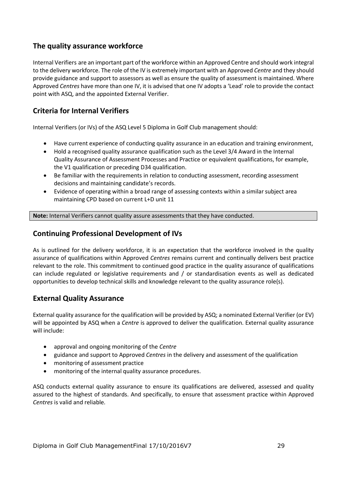### **The quality assurance workforce**

Internal Verifiers are an important part of the workforce within an Approved Centre and should work integral to the delivery workforce. The role of the IV is extremely important with an Approved *Centre* and they should provide guidance and support to assessors as well as ensure the quality of assessment is maintained. Where Approved *Centres* have more than one IV, it is advised that one IV adopts a 'Lead' role to provide the contact point with ASQ, and the appointed External Verifier.

### **Criteria for Internal Verifiers**

Internal Verifiers (or IVs) of the ASQ Level 5 Diploma in Golf Club management should:

- Have current experience of conducting quality assurance in an education and training environment,
- Hold a recognised quality assurance qualification such as the Level 3/4 Award in the Internal Quality Assurance of Assessment Processes and Practice or equivalent qualifications, for example, the V1 qualification or preceding D34 qualification.
- Be familiar with the requirements in relation to conducting assessment, recording assessment decisions and maintaining candidate's records.
- Evidence of operating within a broad range of assessing contexts within a similar subject area maintaining CPD based on current L+D unit 11

**Note:** Internal Verifiers cannot quality assure assessments that they have conducted.

### **Continuing Professional Development of IVs**

As is outlined for the delivery workforce, it is an expectation that the workforce involved in the quality assurance of qualifications within Approved *Centres* remains current and continually delivers best practice relevant to the role. This commitment to continued good practice in the quality assurance of qualifications can include regulated or legislative requirements and / or standardisation events as well as dedicated opportunities to develop technical skills and knowledge relevant to the quality assurance role(s).

### **External Quality Assurance**

External quality assurance for the qualification will be provided by ASQ; a nominated External Verifier (or EV) will be appointed by ASQ when a *Centre* is approved to deliver the qualification. External quality assurance will include:

- approval and ongoing monitoring of the *Centre*
- guidance and support to Approved *Centres* in the delivery and assessment of the qualification
- monitoring of assessment practice
- monitoring of the internal quality assurance procedures.

ASQ conducts external quality assurance to ensure its qualifications are delivered, assessed and quality assured to the highest of standards. And specifically, to ensure that assessment practice within Approved *Centres* is valid and reliable.